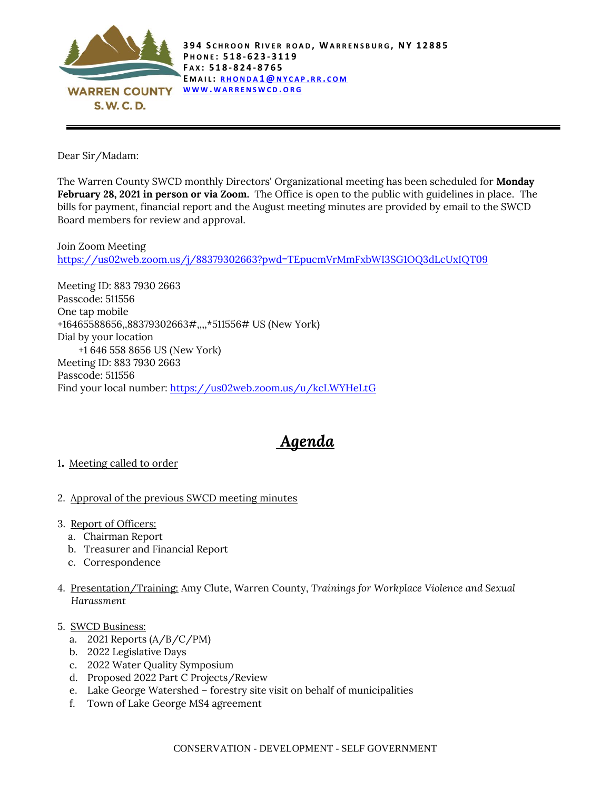

Dear Sir/Madam:

The Warren County SWCD monthly Directors' Organizational meeting has been scheduled for **Monday February 28, 2021 in person or via Zoom.** The Office is open to the public with guidelines in place. The bills for payment, financial report and the August meeting minutes are provided by email to the SWCD Board members for review and approval.

Join Zoom Meeting <https://us02web.zoom.us/j/88379302663?pwd=TEpucmVrMmFxbWI3SG1OQ3dLcUxIQT09>

Meeting ID: 883 7930 2663 Passcode: 511556 One tap mobile +16465588656,,88379302663#,,,,\*511556# US (New York) Dial by your location +1 646 558 8656 US (New York) Meeting ID: 883 7930 2663 Passcode: 511556 Find your local number:<https://us02web.zoom.us/u/kcLWYHeLtG>

## *Agenda*

- <sup>1</sup>. Meeting called to order
- 2. Approval of the previous SWCD meeting minutes
- 3. Report of Officers:
	- a. Chairman Report
	- b. Treasurer and Financial Report
	- c. Correspondence
- 4. Presentation/Training: Amy Clute, Warren County, *Trainings for Workplace Violence and Sexual Harassment*
- 5. SWCD Business:
	- a. 2021 Reports  $(A/B/C/PM)$
	- b. 2022 Legislative Days
	- c. 2022 Water Quality Symposium
	- d. Proposed 2022 Part C Projects/Review
	- e. Lake George Watershed forestry site visit on behalf of municipalities
	- f. Town of Lake George MS4 agreement